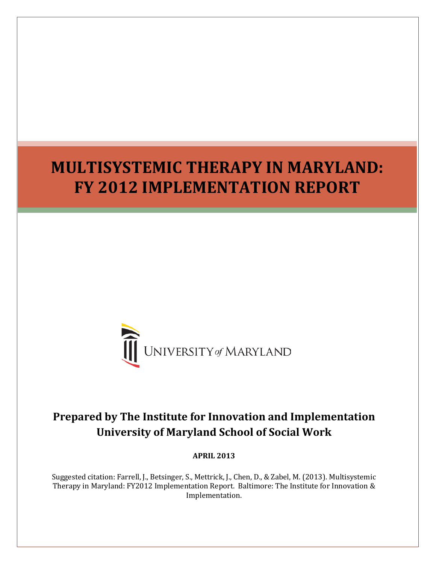# <span id="page-0-0"></span>**MULTISYSTEMIC THERAPY IN MARYLAND: FY 2012 IMPLEMENTATION REPORT**



## **Prepared by The Institute for Innovation and Implementation University of Maryland School of Social Work**

**APRIL 2013**

Suggested citation: Farrell, J., Betsinger, S., Mettrick, J., Chen, D., & Zabel, M. (2013). Multisystemic Therapy in Maryland: FY2012 Implementation Report. Baltimore: The Institute for Innovation & Implementation.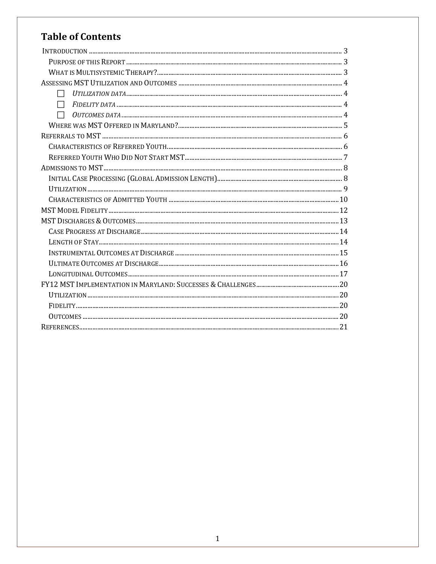## **Table of Contents**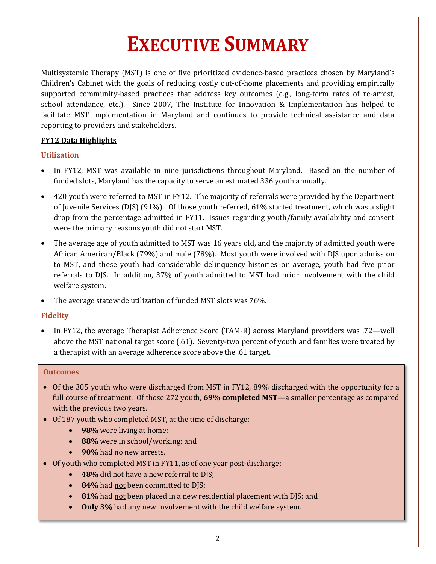# **EXECUTIVE SUMMARY**

Multisystemic Therapy (MST) is one of five prioritized evidence-based practices chosen by Maryland's Children's Cabinet with the goals of reducing costly out-of-home placements and providing empirically supported community-based practices that address key outcomes (e.g., long-term rates of re-arrest, school attendance, etc.). Since 2007, The Institute for Innovation & Implementation has helped to facilitate MST implementation in Maryland and continues to provide technical assistance and data reporting to providers and stakeholders.

## **FY12 Data Highlights**

## **Utilization**

- In FY12, MST was available in nine jurisdictions throughout Maryland. Based on the number of funded slots, Maryland has the capacity to serve an estimated 336 youth annually.
- 420 youth were referred to MST in FY12. The majority of referrals were provided by the Department of Juvenile Services (DJS) (91%). Of those youth referred, 61% started treatment, which was a slight drop from the percentage admitted in FY11. Issues regarding youth/family availability and consent were the primary reasons youth did not start MST.
- The average age of youth admitted to MST was 16 years old, and the majority of admitted youth were African American/Black (79%) and male (78%). Most youth were involved with DJS upon admission to MST, and these youth had considerable delinquency histories–on average, youth had five prior referrals to DJS. In addition, 37% of youth admitted to MST had prior involvement with the child welfare system.
- The average statewide utilization of funded MST slots was 76%.

## **Fidelity**

• In FY12, the average Therapist Adherence Score (TAM-R) across Maryland providers was .72—well above the MST national target score (.61). Seventy-two percent of youth and families were treated by a therapist with an average adherence score above the .61 target.

## **Outcomes**

- Of the 305 youth who were discharged from MST in FY12, 89% discharged with the opportunity for a full course of treatment. Of those 272 youth, **69% completed MST**—a smaller percentage as compared with the previous two years.
- Of 187 youth who completed MST, at the time of discharge:
	- **98%** were living at home;
	- **88%** were in school/working; and
	- **90%** had no new arrests.
- Of youth who completed MST in FY11, as of one year post-discharge:
	- **48%** did not have a new referral to DJS;
	- 84% had not been committed to DJS;
	- **81%** had not been placed in a new residential placement with DJS; and
	- **Only 3%** had any new involvement with the child welfare system.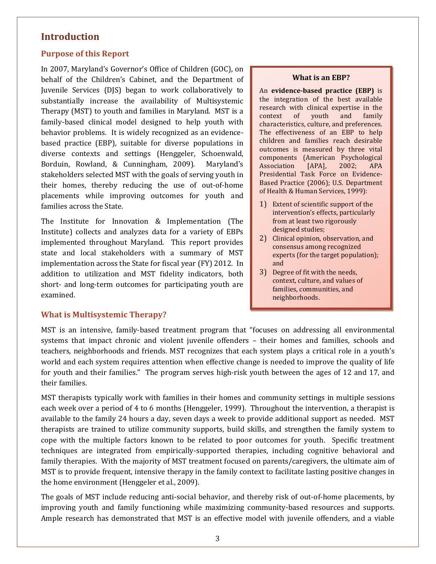## **Introduction**

#### <span id="page-3-0"></span>**Purpose of this Report**

In 2007, Maryland's Governor's Office of Children (GOC), on behalf of the Children's Cabinet, and the Department of Juvenile Services (DJS) began to work collaboratively to substantially increase the availability of Multisystemic Therapy (MST) to youth and families in Maryland. MST is a family-based clinical model designed to help youth with behavior problems. It is widely recognized as an evidencebased practice (EBP), suitable for diverse populations in diverse contexts and settings (Henggeler, Schoenwald, Borduin, Rowland, & Cunningham, 2009). Maryland's stakeholders selected MST with the goals of serving youth in their homes, thereby reducing the use of out-of-home placements while improving outcomes for youth and families across the State.

The Institute for Innovation & Implementation (The Institute) collects and analyzes data for a variety of EBPs implemented throughout Maryland. This report provides state and local stakeholders with a summary of MST implementation across the State for fiscal year (FY) 2012. In addition to utilization and MST fidelity indicators, both short- and long-term outcomes for participating youth are examined.

#### **What is an EBP?**

An **evidence-based practice (EBP)** is the integration of the best available research with clinical expertise in the<br>context of vouth and family context of youth characteristics, culture, and preferences. The effectiveness of an EBP to help children and families reach desirable outcomes is measured by three vital components (American Psychological<br>Association [APA], 2002; APA Association Presidential Task Force on Evidence-Based Practice (2006); U.S. Department of Health & Human Services, 1999):

- 1) Extent of scientific support of the intervention's effects, particularly from at least two rigorously designed studies;
- 2) Clinical opinion, observation, and consensus among recognized experts (for the target population); and
- 3) Degree of fit with the needs, context, culture, and values of families, communities, and neighborhoods.

#### <span id="page-3-1"></span>**What is Multisystemic Therapy?**

MST is an intensive, family-based treatment program that "focuses on addressing all environmental systems that impact chronic and violent juvenile offenders – their homes and families, schools and teachers, neighborhoods and friends. MST recognizes that each system plays a critical role in a youth's world and each system requires attention when effective change is needed to improve the quality of life for youth and their families." The program serves high-risk youth between the ages of 12 and 17, and their families.

MST therapists typically work with families in their homes and community settings in multiple sessions each week over a period of 4 to 6 months (Henggeler, 1999). Throughout the intervention, a therapist is available to the family 24 hours a day, seven days a week to provide additional support as needed. MST therapists are trained to utilize community supports, build skills, and strengthen the family system to cope with the multiple factors known to be related to poor outcomes for youth. Specific treatment techniques are integrated from empirically-supported therapies, including cognitive behavioral and family therapies. With the majority of MST treatment focused on parents/caregivers, the ultimate aim of MST is to provide frequent, intensive therapy in the family context to facilitate lasting positive changes in the home environment (Henggeler et al., 2009).

The goals of MST include reducing anti-social behavior, and thereby risk of out-of-home placements, by improving youth and family functioning while maximizing community-based resources and supports. Ample research has demonstrated that MST is an effective model with juvenile offenders, and a viable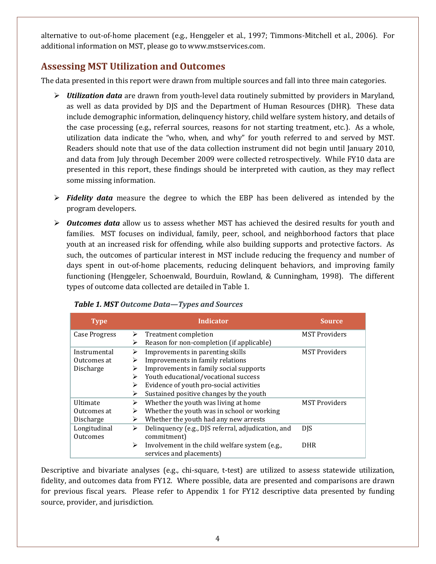alternative to out-of-home placement (e.g., Henggeler et al., 1997; Timmons-Mitchell et al., 2006). For additional information on MST, please go to www.mstservices.com.

## <span id="page-4-0"></span>**Assessing MST Utilization and Outcomes**

The data presented in this report were drawn from multiple sources and fall into three main categories.

- <span id="page-4-1"></span> *Utilization data* are drawn from youth-level data routinely submitted by providers in Maryland, as well as data provided by DJS and the Department of Human Resources (DHR). These data include demographic information, delinquency history, child welfare system history, and details of the case processing (e.g., referral sources, reasons for not starting treatment, etc.). As a whole, utilization data indicate the "who, when, and why" for youth referred to and served by MST. Readers should note that use of the data collection instrument did not begin until January 2010, and data from July through December 2009 were collected retrospectively. While FY10 data are presented in this report, these findings should be interpreted with caution, as they may reflect some missing information.
- <span id="page-4-2"></span> *Fidelity data* measure the degree to which the EBP has been delivered as intended by the program developers.
- <span id="page-4-3"></span> *Outcomes data* allow us to assess whether MST has achieved the desired results for youth and families. MST focuses on individual, family, peer, school, and neighborhood factors that place youth at an increased risk for offending, while also building supports and protective factors. As such, the outcomes of particular interest in MST include reducing the frequency and number of days spent in out-of-home placements, reducing delinquent behaviors, and improving family functioning (Henggeler, Schoenwald, Bourduin, Rowland, & Cunningham, 1998). The different types of outcome data collected are detailed in Table 1.

| <b>Type</b>          |   | <b>Indicator</b>                                   | Source               |
|----------------------|---|----------------------------------------------------|----------------------|
| <b>Case Progress</b> | ⋗ | Treatment completion                               | <b>MST Providers</b> |
|                      | ⋗ | Reason for non-completion (if applicable)          |                      |
| Instrumental         | ⋗ | Improvements in parenting skills                   | <b>MST Providers</b> |
| Outcomes at          | ⋗ | Improvements in family relations                   |                      |
| Discharge            | ⋗ | Improvements in family social supports             |                      |
|                      | ⋗ | Youth educational/vocational success               |                      |
|                      | ⋗ | Evidence of youth pro-social activities            |                      |
|                      | ➤ | Sustained positive changes by the youth            |                      |
| <b>Ultimate</b>      | ⋗ | Whether the youth was living at home               | <b>MST Providers</b> |
| Outcomes at          | ⋗ | Whether the youth was in school or working         |                      |
| Discharge            | ➤ | Whether the youth had any new arrests              |                      |
| Longitudinal         | ≻ | Delinquency (e.g., DJS referral, adjudication, and | <b>DIS</b>           |
| Outcomes             |   | commitment)                                        |                      |
|                      | ➤ | Involvement in the child welfare system (e.g.,     | <b>DHR</b>           |
|                      |   | services and placements)                           |                      |

#### *Table 1. MST Outcome Data—Types and Sources*

Descriptive and bivariate analyses (e.g., chi-square, t-test) are utilized to assess statewide utilization, fidelity, and outcomes data from FY12. Where possible, data are presented and comparisons are drawn for previous fiscal years. Please refer to Appendix 1 for FY12 descriptive data presented by funding source, provider, and jurisdiction.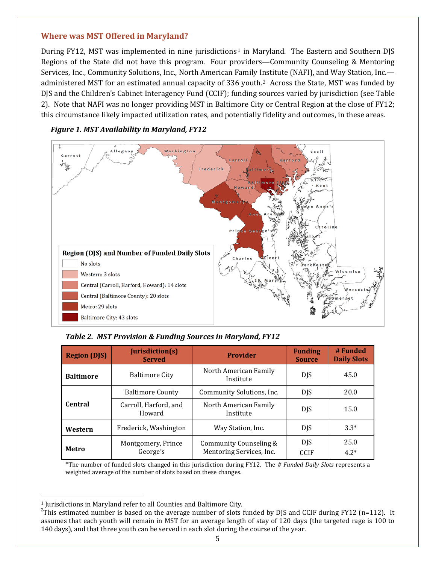#### <span id="page-5-0"></span>**Where was MST Offered in Maryland?**

During FY[1](#page-5-1)2, MST was implemented in nine jurisdictions<sup>1</sup> in Maryland. The Eastern and Southern DJS Regions of the State did not have this program. Four providers—Community Counseling & Mentoring Services, Inc., Community Solutions, Inc., North American Family Institute (NAFI), and Way Station, Inc. administered MST for an estimated annual capacity of 336 youth.[2](#page-5-2) Across the State, MST was funded by DJS and the Children's Cabinet Interagency Fund (CCIF); funding sources varied by jurisdiction (see Table 2). Note that NAFI was no longer providing MST in Baltimore City or Central Region at the close of FY12; this circumstance likely impacted utilization rates, and potentially fidelity and outcomes, in these areas.



#### *Figure 1. MST Availability in Maryland, FY12*

*Table 2. MST Provision & Funding Sources in Maryland, FY12*

| <b>Region (DJS)</b> | Jurisdiction(s)<br><b>Served</b>                            | <b>Provider</b>                                    | <b>Funding</b><br><b>Source</b> | # Funded<br><b>Daily Slots</b> |
|---------------------|-------------------------------------------------------------|----------------------------------------------------|---------------------------------|--------------------------------|
| <b>Baltimore</b>    | North American Family<br><b>Baltimore City</b><br>Institute |                                                    | <b>DJS</b>                      | 45.0                           |
|                     | <b>Baltimore County</b>                                     | Community Solutions, Inc.                          | <b>DJS</b>                      | 20.0                           |
| <b>Central</b>      | Carroll, Harford, and<br>Howard                             | North American Family<br>Institute                 | <b>DJS</b>                      | 15.0                           |
| Western             | Frederick, Washington                                       | Way Station, Inc.                                  | <b>DJS</b>                      | $3.3*$                         |
| Metro               | Montgomery, Prince<br>George's                              | Community Counseling &<br>Mentoring Services, Inc. | <b>DJS</b><br><b>CCIF</b>       | 25.0<br>$4.2*$                 |

<sup>\*</sup>The number of funded slots changed in this jurisdiction during FY12. The *# Funded Daily Slots* represents a weighted average of the number of slots based on these changes.

<sup>-</sup><sup>1</sup> Jurisdictions in Maryland refer to all Counties and Baltimore City.

<span id="page-5-2"></span><span id="page-5-1"></span><sup>&</sup>lt;sup>2</sup>This estimated number is based on the average number of slots funded by DJS and CCIF during FY12 (n=112). It assumes that each youth will remain in MST for an average length of stay of 120 days (the targeted rage is 100 to 140 days), and that three youth can be served in each slot during the course of the year.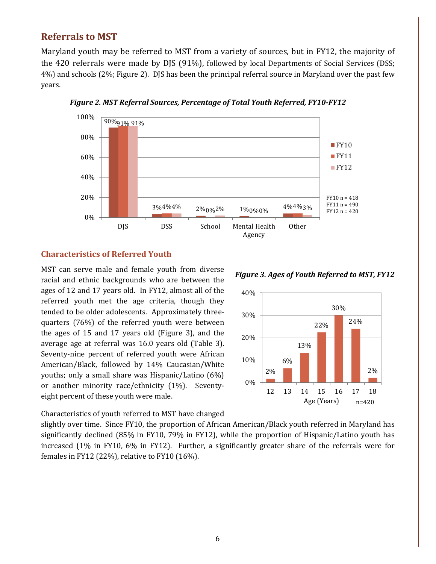## <span id="page-6-0"></span>**Referrals to MST**

Maryland youth may be referred to MST from a variety of sources, but in FY12, the majority of the 420 referrals were made by DJS (91%), followed by local Departments of Social Services (DSS; 4%) and schools (2%; Figure 2). DJS has been the principal referral source in Maryland over the past few years.



*Figure 2. MST Referral Sources, Percentage of Total Youth Referred, FY10-FY12*

#### <span id="page-6-1"></span>**Characteristics of Referred Youth**

MST can serve male and female youth from diverse racial and ethnic backgrounds who are between the ages of 12 and 17 years old. In FY12, almost all of the referred youth met the age criteria, though they tended to be older adolescents. Approximately threequarters (76%) of the referred youth were between the ages of 15 and 17 years old (Figure 3), and the average age at referral was 16.0 years old (Table 3). Seventy-nine percent of referred youth were African American/Black, followed by 14% Caucasian/White youths; only a small share was Hispanic/Latino (6%) or another minority race/ethnicity (1%). Seventyeight percent of these youth were male.

Characteristics of youth referred to MST have changed

slightly over time. Since FY10, the proportion of African American/Black youth referred in Maryland has significantly declined (85% in FY10, 79% in FY12), while the proportion of Hispanic/Latino youth has increased (1% in FY10, 6% in FY12). Further, a significantly greater share of the referrals were for females in FY12 (22%), relative to FY10 (16%).

*Figure 3. Ages of Youth Referred to MST, FY12*

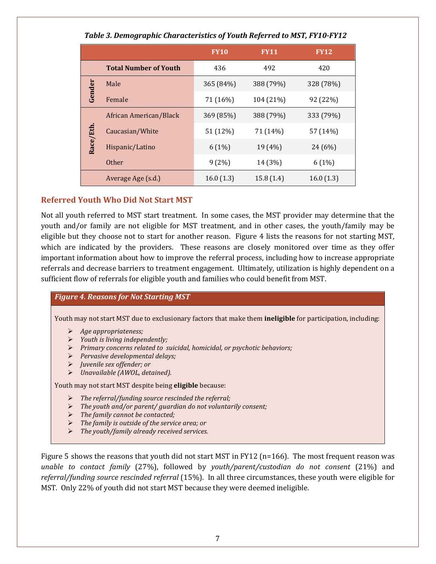| Tubic 3. Demographic enuracieristics of Touth Referred to M3T, I TTO TTTE |                              |             |             |             |  |
|---------------------------------------------------------------------------|------------------------------|-------------|-------------|-------------|--|
|                                                                           |                              | <b>FY10</b> | <b>FY11</b> | <b>FY12</b> |  |
|                                                                           | <b>Total Number of Youth</b> | 436         | 492         | 420         |  |
| Gender                                                                    | Male                         | 365 (84%)   | 388 (79%)   | 328 (78%)   |  |
|                                                                           | Female                       | 71 (16%)    | 104 (21%)   | 92 (22%)    |  |
|                                                                           | African American/Black       | 369 (85%)   | 388 (79%)   | 333 (79%)   |  |
|                                                                           | Caucasian/White              | 51 (12%)    | 71 (14%)    | 57 (14%)    |  |
| Race/Eth                                                                  | Hispanic/Latino              | 6(1%)       | 19 (4%)     | 24 (6%)     |  |
|                                                                           | <b>Other</b>                 | 9(2%)       | 14 (3%)     | 6(1%)       |  |
|                                                                           | Average Age (s.d.)           | 16.0(1.3)   | 15.8(1.4)   | 16.0(1.3)   |  |

#### *Table 3. Demographic Characteristics of Youth Referred to MST, FY10-FY12*

#### <span id="page-7-0"></span>**Referred Youth Who Did Not Start MST**

Not all youth referred to MST start treatment. In some cases, the MST provider may determine that the youth and/or family are not eligible for MST treatment, and in other cases, the youth/family may be eligible but they choose not to start for another reason. Figure 4 lists the reasons for not starting MST, which are indicated by the providers. These reasons are closely monitored over time as they offer important information about how to improve the referral process, including how to increase appropriate referrals and decrease barriers to treatment engagement. Ultimately, utilization is highly dependent on a sufficient flow of referrals for eligible youth and families who could benefit from MST.

#### *Figure 4. Reasons for Not Starting MST*

Youth may not start MST due to exclusionary factors that make them **ineligible** for participation, including:

- *Age appropriateness;*
- *Youth is living independently;*
- *Primary concerns related to suicidal, homicidal, or psychotic behaviors;*
- *Pervasive developmental delays;*
- *Juvenile sex offender; or*
- *Unavailable (AWOL, detained).*

Youth may not start MST despite being **eligible** because:

- *The referral/funding source rescinded the referral;*
- *The youth and/or parent/ guardian do not voluntarily consent;*
- *The family cannot be contacted;*
- *The family is outside of the service area; or*
- *The youth/family already received services.*

Figure 5 shows the reasons that youth did not start MST in FY12 (n=166). The most frequent reason was *unable to contact family* (27%), followed by *youth/parent/custodian do not consent* (21%) and *referral/funding source rescinded referral* (15%). In all three circumstances, these youth were eligible for MST. Only 22% of youth did not start MST because they were deemed ineligible.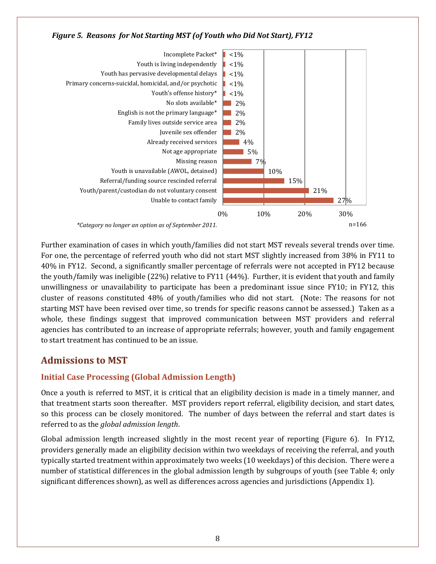



Further examination of cases in which youth/families did not start MST reveals several trends over time. For one, the percentage of referred youth who did not start MST slightly increased from 38% in FY11 to 40% in FY12. Second, a significantly smaller percentage of referrals were not accepted in FY12 because the youth/family was ineligible (22%) relative to FY11 (44%). Further, it is evident that youth and family unwillingness or unavailability to participate has been a predominant issue since FY10; in FY12, this cluster of reasons constituted 48% of youth/families who did not start. (Note: The reasons for not starting MST have been revised over time, so trends for specific reasons cannot be assessed.) Taken as a whole, these findings suggest that improved communication between MST providers and referral agencies has contributed to an increase of appropriate referrals; however, youth and family engagement to start treatment has continued to be an issue.

## <span id="page-8-0"></span>**Admissions to MST**

## <span id="page-8-1"></span>**Initial Case Processing (Global Admission Length)**

Once a youth is referred to MST, it is critical that an eligibility decision is made in a timely manner, and that treatment starts soon thereafter. MST providers report referral, eligibility decision, and start dates, so this process can be closely monitored. The number of days between the referral and start dates is referred to as the *global admission length*.

Global admission length increased slightly in the most recent year of reporting (Figure 6). In FY12, providers generally made an eligibility decision within two weekdays of receiving the referral, and youth typically started treatment within approximately two weeks (10 weekdays) of this decision. There were a number of statistical differences in the global admission length by subgroups of youth (see Table 4; only significant differences shown), as well as differences across agencies and jurisdictions (Appendix 1).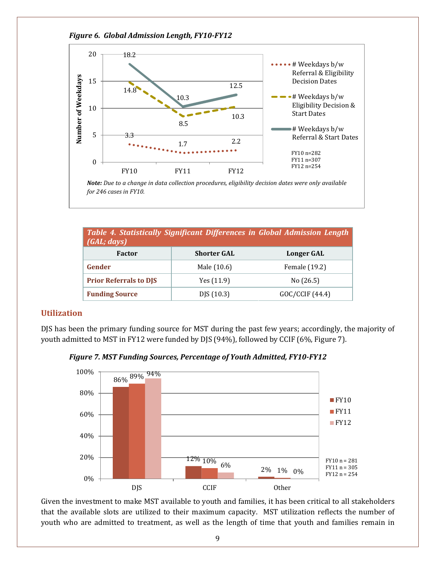

| Table 4. Statistically Significant Differences in Global Admission Length<br>(GAL; days) |                    |                |  |
|------------------------------------------------------------------------------------------|--------------------|----------------|--|
| Factor                                                                                   | <b>Shorter GAL</b> | Longer GAL     |  |
| Gender                                                                                   | Male (10.6)        | Female (19.2)  |  |
| <b>Prior Referrals to DJS</b>                                                            | Yes $(11.9)$       | No $(26.5)$    |  |
| <b>Funding Source</b>                                                                    | D/S(10.3)          | GOC/CCIF(44.4) |  |

#### <span id="page-9-0"></span>**Utilization**

DJS has been the primary funding source for MST during the past few years; accordingly, the majority of youth admitted to MST in FY12 were funded by DJS (94%), followed by CCIF (6%, Figure 7).

*Figure 7. MST Funding Sources, Percentage of Youth Admitted, FY10-FY12*



Given the investment to make MST available to youth and families, it has been critical to all stakeholders that the available slots are utilized to their maximum capacity. MST utilization reflects the number of youth who are admitted to treatment, as well as the length of time that youth and families remain in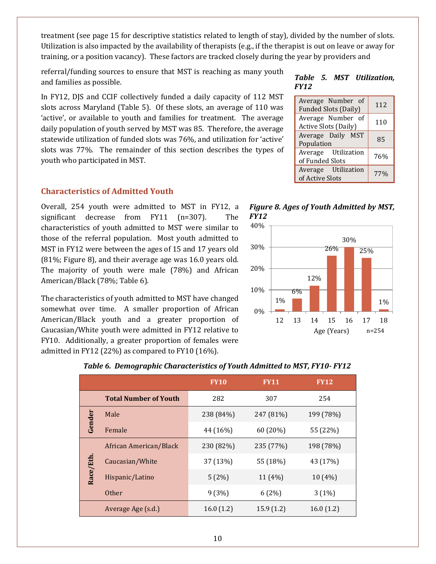treatment (see page 15 for descriptive statistics related to length of stay), divided by the number of slots. Utilization is also impacted by the availability of therapists (e.g., if the therapist is out on leave or away for training, or a position vacancy). These factors are tracked closely during the year by providers and

referral/funding sources to ensure that MST is reaching as many youth and families as possible.

In FY12, DJS and CCIF collectively funded a daily capacity of 112 MST slots across Maryland (Table 5). Of these slots, an average of 110 was 'active', or available to youth and families for treatment. The average daily population of youth served by MST was 85. Therefore, the average statewide utilization of funded slots was 76%, and utilization for 'active' slots was 77%. The remainder of this section describes the types of youth who participated in MST.

#### <span id="page-10-0"></span>**Characteristics of Admitted Youth**

Overall, 254 youth were admitted to MST in FY12, a significant decrease from FY11 (n=307). The characteristics of youth admitted to MST were similar to those of the referral population. Most youth admitted to MST in FY12 were between the ages of 15 and 17 years old (81%; Figure 8), and their average age was 16.0 years old. The majority of youth were male (78%) and African American/Black (78%; Table 6).

The characteristics of youth admitted to MST have changed somewhat over time. A smaller proportion of African American/Black youth and a greater proportion of Caucasian/White youth were admitted in FY12 relative to FY10. Additionally, a greater proportion of females were admitted in FY12 (22%) as compared to FY10 (16%).

#### *Table 5. MST Utilization, FY12*

| Average Number of<br><b>Funded Slots (Daily)</b> | 112             |
|--------------------------------------------------|-----------------|
| Average Number of<br><b>Active Slots (Daily)</b> | 110             |
| Average Daily MST<br>Population                  | 85              |
| Average Utilization<br>of Funded Slots           | 76%             |
| Average Utilization<br>of Active Slots           | 77 <sub>%</sub> |





|           |                              | <b>FY10</b> | <b>FY11</b> | <b>FY12</b> |
|-----------|------------------------------|-------------|-------------|-------------|
|           | <b>Total Number of Youth</b> | 282         | 307         | 254         |
| Gender    | Male                         | 238 (84%)   | 247 (81%)   | 199 (78%)   |
|           | Female                       | 44 (16%)    | 60 (20%)    | 55 (22%)    |
|           | African American/Black       | 230 (82%)   | 235 (77%)   | 198 (78%)   |
| Race/Eth. | Caucasian/White              | 37 (13%)    | 55 (18%)    | 43 (17%)    |
|           | Hispanic/Latino              | 5(2%)       | 11 (4%)     | 10 (4%)     |
|           | <b>Other</b>                 | 9(3%)       | 6(2%)       | 3(1%)       |
|           | Average Age (s.d.)           | 16.0(1.2)   | 15.9(1.2)   | 16.0(1.2)   |

#### *Table 6. Demographic Characteristics of Youth Admitted to MST, FY10- FY12*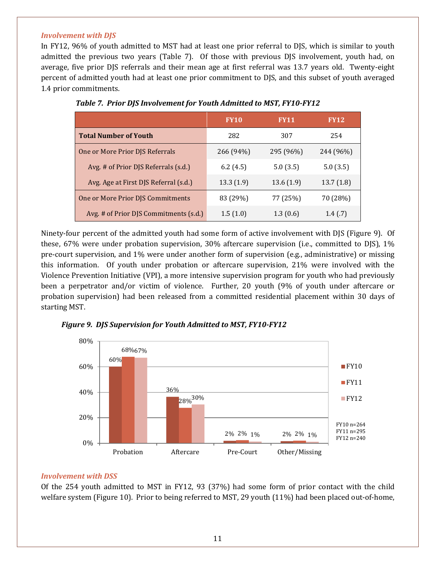#### *Involvement with DJS*

In FY12, 96% of youth admitted to MST had at least one prior referral to DJS, which is similar to youth admitted the previous two years (Table 7). Of those with previous DJS involvement, youth had, on average, five prior DJS referrals and their mean age at first referral was 13.7 years old. Twenty-eight percent of admitted youth had at least one prior commitment to DJS, and this subset of youth averaged 1.4 prior commitments.

|                                        | <b>FY10</b> | <b>FY11</b> | <b>FY12</b> |
|----------------------------------------|-------------|-------------|-------------|
| <b>Total Number of Youth</b>           | 282         | 307         | 254         |
| One or More Prior DJS Referrals        | 266 (94%)   | 295 (96%)   | 244 (96%)   |
| Avg. # of Prior DJS Referrals (s.d.)   | 6.2(4.5)    | 5.0(3.5)    | 5.0(3.5)    |
| Avg. Age at First DJS Referral (s.d.)  | 13.3(1.9)   | 13.6(1.9)   | 13.7(1.8)   |
| One or More Prior DJS Commitments      | 83 (29%)    | 77 (25%)    | 70 (28%)    |
| Avg. # of Prior DJS Commitments (s.d.) | 1.5(1.0)    | 1.3(0.6)    | 1.4(0.7)    |

|  | Table 7. Prior DJS Involvement for Youth Admitted to MST, FY10-FY12 |  |
|--|---------------------------------------------------------------------|--|
|  |                                                                     |  |

Ninety-four percent of the admitted youth had some form of active involvement with DJS (Figure 9). Of these, 67% were under probation supervision, 30% aftercare supervision (i.e., committed to DJS), 1% pre-court supervision, and 1% were under another form of supervision (e.g., administrative) or missing this information. Of youth under probation or aftercare supervision, 21% were involved with the Violence Prevention Initiative (VPI), a more intensive supervision program for youth who had previously been a perpetrator and/or victim of violence. Further, 20 youth (9% of youth under aftercare or probation supervision) had been released from a committed residential placement within 30 days of starting MST.





#### *Involvement with DSS*

Of the 254 youth admitted to MST in FY12, 93 (37%) had some form of prior contact with the child welfare system (Figure 10). Prior to being referred to MST, 29 youth (11%) had been placed out-of-home,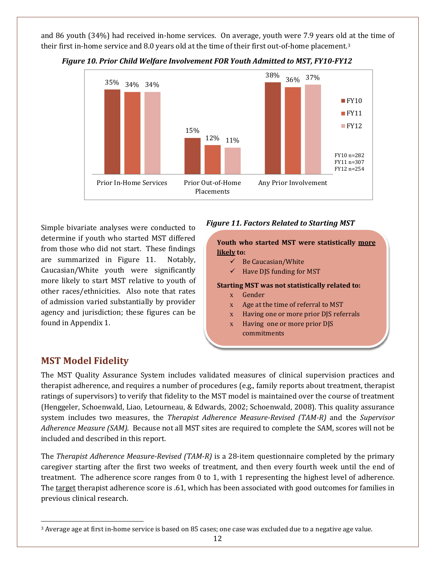and 86 youth (34%) had received in-home services. On average, youth were 7.9 years old at the time of their first in-home service and 8.0 years old at the time of their first out-of-home placement.[3](#page-12-1)



#### *Figure 10. Prior Child Welfare Involvement FOR Youth Admitted to MST, FY10-FY12*

Simple bivariate analyses were conducted to determine if youth who started MST differed from those who did not start. These findings are summarized in Figure 11. Notably, Caucasian/White youth were significantly more likely to start MST relative to youth of other races/ethnicities. Also note that rates of admission varied substantially by provider agency and jurisdiction; these figures can be found in Appendix 1.

#### *Figure 11. Factors Related to Starting MST*

**Youth who started MST were statistically more likely to:**

- $\checkmark$  Be Caucasian/White
- $\checkmark$  Have DJS funding for MST

#### **Starting MST was not statistically related to:**

x Gender

 $\overline{a}$ 

- x Age at the time of referral to MST
- x Having one or more prior DJS referrals
- x Having one or more prior DJS commitments

## <span id="page-12-0"></span>**MST Model Fidelity**

 $\overline{a}$ 

The MST Quality Assurance System includes validated measures of clinical supervision practices and therapist adherence, and requires a number of procedures (e.g., family reports about treatment, therapist ratings of supervisors) to verify that fidelity to the MST model is maintained over the course of treatment (Henggeler, Schoenwald, Liao, Letourneau, & Edwards, 2002; Schoenwald, 2008). This quality assurance system includes two measures, the *Therapist Adherence Measure-Revised (TAM-R)* and the *Supervisor Adherence Measure (SAM)*. Because not all MST sites are required to complete the SAM, scores will not be included and described in this report.

The *Therapist Adherence Measure-Revised (TAM-R)* is a 28-item questionnaire completed by the primary caregiver starting after the first two weeks of treatment, and then every fourth week until the end of treatment. The adherence score ranges from 0 to 1, with 1 representing the highest level of adherence. The target therapist adherence score is .61, which has been associated with good outcomes for families in previous clinical research.

<span id="page-12-1"></span><sup>3</sup> Average age at first in-home service is based on 85 cases; one case was excluded due to a negative age value.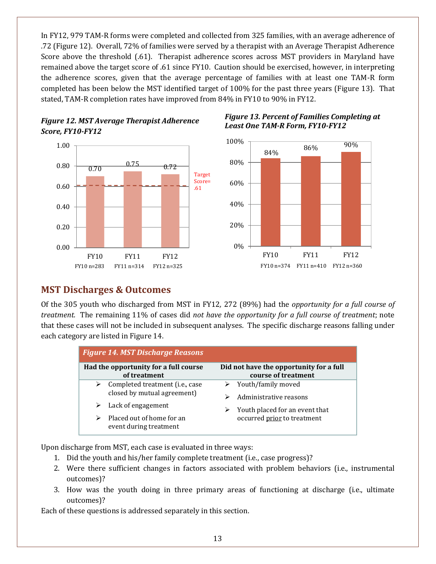In FY12, 979 TAM-R forms were completed and collected from 325 families, with an average adherence of .72 (Figure 12). Overall, 72% of families were served by a therapist with an Average Therapist Adherence Score above the threshold (.61). Therapist adherence scores across MST providers in Maryland have remained above the target score of .61 since FY10. Caution should be exercised, however, in interpreting the adherence scores, given that the average percentage of families with at least one TAM-R form completed has been below the MST identified target of 100% for the past three years (Figure 13). That stated, TAM-R completion rates have improved from 84% in FY10 to 90% in FY12.





#### *Figure 13. Percent of Families Completing at Least One TAM-R Form, FY10-FY12*



## <span id="page-13-0"></span>**MST Discharges & Outcomes**

Of the 305 youth who discharged from MST in FY12*,* 272 (89%) had the *opportunity for a full course of treatment.* The remaining 11% of cases did *not have the opportunity for a full course of treatment*; note that these cases will not be included in subsequent analyses. The specific discharge reasons falling under each category are listed in Figure 14.

|   | <b>Figure 14. MST Discharge Reasons</b>                        |                                                                |
|---|----------------------------------------------------------------|----------------------------------------------------------------|
|   | Had the opportunity for a full course<br>of treatment          | Did not have the opportunity for a full<br>course of treatment |
| ➤ | Completed treatment (i.e., case<br>closed by mutual agreement) | Youth/family moved<br>Administrative reasons                   |
| ➤ | Lack of engagement                                             | Youth placed for an event that<br>➤                            |
|   | Placed out of home for an<br>event during treatment            | occurred prior to treatment                                    |

Upon discharge from MST, each case is evaluated in three ways:

- 1. Did the youth and his/her family complete treatment (i.e., case progress)?
- 2. Were there sufficient changes in factors associated with problem behaviors (i.e., instrumental outcomes)?
- 3. How was the youth doing in three primary areas of functioning at discharge (i.e., ultimate outcomes)?

Each of these questions is addressed separately in this section.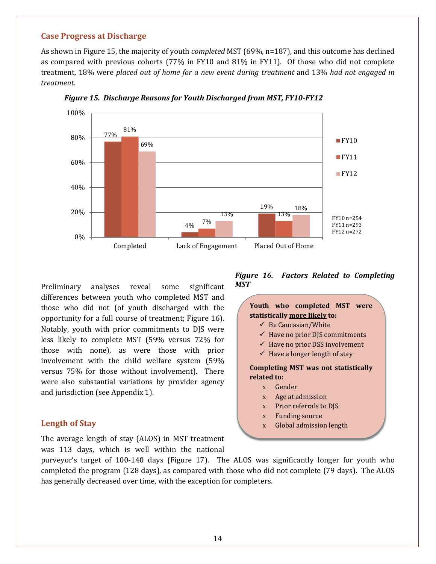#### <span id="page-14-0"></span>**Case Progress at Discharge**

As shown in Figure 15, the majority of youth *completed* MST (69%, n=187), and this outcome has declined as compared with previous cohorts (77% in FY10 and 81% in FY11). Of those who did not complete treatment, 18% were *placed out of home for a new event during treatment* and 13% *had not engaged in treatment*.



*Figure 15. Discharge Reasons for Youth Discharged from MST, FY10-FY12*

Preliminary analyses reveal some significant differences between youth who completed MST and those who did not (of youth discharged with the opportunity for a full course of treatment; Figure 16). Notably, youth with prior commitments to DJS were less likely to complete MST (59% versus 72% for those with none), as were those with prior involvement with the child welfare system (59% versus 75% for those without involvement). There were also substantial variations by provider agency and jurisdiction (see Appendix 1).

#### <span id="page-14-1"></span>**Length of Stay**

The average length of stay (ALOS) in MST treatment was 113 days, which is well within the national

#### *Figure 16. Factors Related to Completing MST*



purveyor's target of 100-140 days (Figure 17). The ALOS was significantly longer for youth who completed the program (128 days), as compared with those who did not complete (79 days). The ALOS has generally decreased over time, with the exception for completers.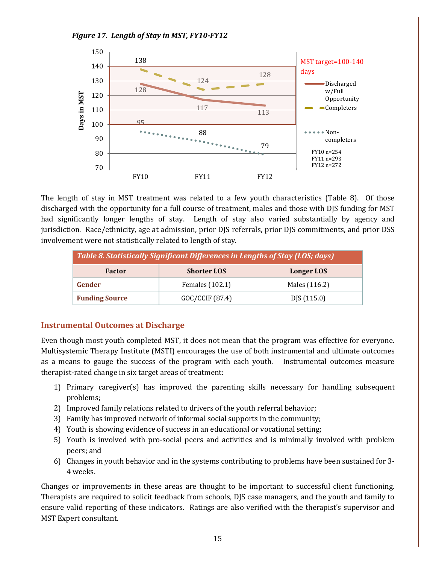

The length of stay in MST treatment was related to a few youth characteristics (Table 8). Of those discharged with the opportunity for a full course of treatment, males and those with DJS funding for MST had significantly longer lengths of stay. Length of stay also varied substantially by agency and jurisdiction. Race/ethnicity, age at admission, prior DJS referrals, prior DJS commitments, and prior DSS involvement were not statistically related to length of stay.

| Table 8. Statistically Significant Differences in Lengths of Stay (LOS; days) |                    |               |  |
|-------------------------------------------------------------------------------|--------------------|---------------|--|
| <b>Factor</b>                                                                 | <b>Shorter LOS</b> | Longer LOS    |  |
| Gender                                                                        | Females (102.1)    | Males (116.2) |  |
| <b>Funding Source</b>                                                         | GOC/CCIF (87.4)    | DJS (115.0)   |  |

## <span id="page-15-0"></span>**Instrumental Outcomes at Discharge**

Even though most youth completed MST, it does not mean that the program was effective for everyone. Multisystemic Therapy Institute (MSTI) encourages the use of both instrumental and ultimate outcomes as a means to gauge the success of the program with each youth. Instrumental outcomes measure therapist-rated change in six target areas of treatment:

- 1) Primary caregiver(s) has improved the parenting skills necessary for handling subsequent problems;
- 2) Improved family relations related to drivers of the youth referral behavior;
- 3) Family has improved network of informal social supports in the community;
- 4) Youth is showing evidence of success in an educational or vocational setting;
- 5) Youth is involved with pro-social peers and activities and is minimally involved with problem peers; and
- 6) Changes in youth behavior and in the systems contributing to problems have been sustained for 3- 4 weeks.

Changes or improvements in these areas are thought to be important to successful client functioning. Therapists are required to solicit feedback from schools, DJS case managers, and the youth and family to ensure valid reporting of these indicators. Ratings are also verified with the therapist's supervisor and MST Expert consultant.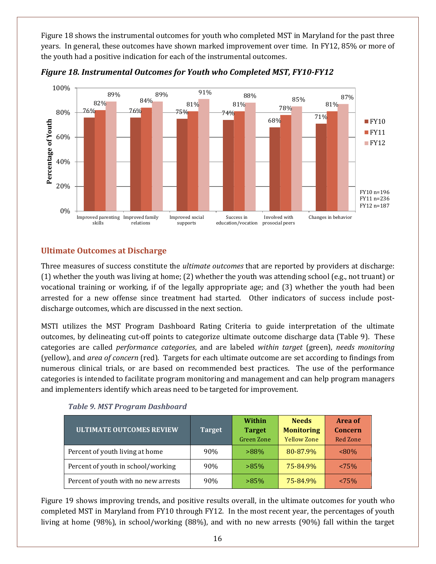Figure 18 shows the instrumental outcomes for youth who completed MST in Maryland for the past three years. In general, these outcomes have shown marked improvement over time. In FY12, 85% or more of the youth had a positive indication for each of the instrumental outcomes.



*Figure 18. Instrumental Outcomes for Youth who Completed MST, FY10-FY12*

## <span id="page-16-0"></span>**Ultimate Outcomes at Discharge**

Three measures of success constitute the *ultimate outcomes* that are reported by providers at discharge: (1) whether the youth was living at home; (2) whether the youth was attending school (e.g., not truant) or vocational training or working, if of the legally appropriate age; and (3) whether the youth had been arrested for a new offense since treatment had started. Other indicators of success include postdischarge outcomes, which are discussed in the next section.

MSTI utilizes the MST Program Dashboard Rating Criteria to guide interpretation of the ultimate outcomes, by delineating cut-off points to categorize ultimate outcome discharge data (Table 9). These categories are called *performance categories*, and are labeled *within target* (green), *needs monitoring* (yellow), and *area of concern* (red). Targets for each ultimate outcome are set according to findings from numerous clinical trials, or are based on recommended best practices. The use of the performance categories is intended to facilitate program monitoring and management and can help program managers and implementers identify which areas need to be targeted for improvement.

|                                      |               | Within            | <b>Needs</b>       | <b>Area of</b>  |
|--------------------------------------|---------------|-------------------|--------------------|-----------------|
| <b>ULTIMATE OUTCOMES REVIEW</b>      | <b>Target</b> | <b>Target</b>     | <b>Monitoring</b>  | <b>Concern</b>  |
|                                      |               | <b>Green Zone</b> | <b>Yellow Zone</b> | <b>Red Zone</b> |
| Percent of youth living at home      | 90%           | $>88\%$           | 80-87.9%           | $<80\%$         |
| Percent of youth in school/working   | 90%           | $>85\%$           | 75-84.9%           | $< 75\%$        |
| Percent of youth with no new arrests | 90%           | $>85\%$           | 75-84.9%           | $< 75\%$        |

*Table 9. MST Program Dashboard*

Figure 19 shows improving trends, and positive results overall, in the ultimate outcomes for youth who completed MST in Maryland from FY10 through FY12. In the most recent year, the percentages of youth living at home (98%), in school/working (88%), and with no new arrests (90%) fall within the target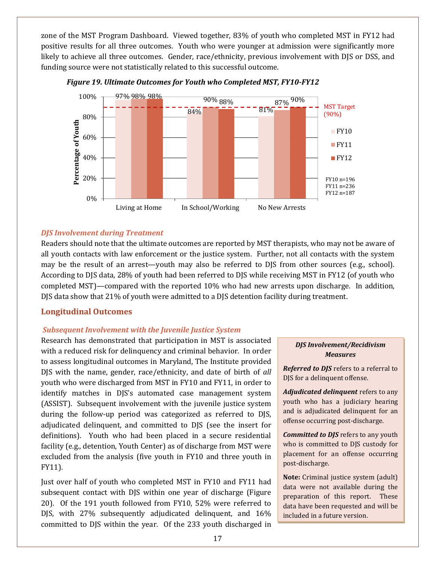zone of the MST Program Dashboard. Viewed together, 83% of youth who completed MST in FY12 had positive results for all three outcomes. Youth who were younger at admission were significantly more likely to achieve all three outcomes. Gender, race/ethnicity, previous involvement with DJS or DSS, and funding source were not statistically related to this successful outcome.



*Figure 19. Ultimate Outcomes for Youth who Completed MST, FY10-FY12*

#### *DJS Involvement during Treatment*

Readers should note that the ultimate outcomes are reported by MST therapists, who may not be aware of all youth contacts with law enforcement or the justice system. Further, not all contacts with the system may be the result of an arrest—youth may also be referred to DJS from other sources (e.g., school). According to DJS data, 28% of youth had been referred to DJS while receiving MST in FY12 (of youth who completed MST)—compared with the reported 10% who had new arrests upon discharge. In addition, DJS data show that 21% of youth were admitted to a DJS detention facility during treatment.

## <span id="page-17-0"></span>**Longitudinal Outcomes**

#### *Subsequent Involvement with the Juvenile Justice System*

Research has demonstrated that participation in MST is associated with a reduced risk for delinquency and criminal behavior. In order to assess longitudinal outcomes in Maryland, The Institute provided DJS with the name, gender, race/ethnicity, and date of birth of *all* youth who were discharged from MST in FY10 and FY11, in order to identify matches in DJS's automated case management system (ASSIST). Subsequent involvement with the juvenile justice system during the follow-up period was categorized as referred to DJS, adjudicated delinquent, and committed to DJS (see the insert for definitions). Youth who had been placed in a secure residential facility (e.g., detention, Youth Center) as of discharge from MST were excluded from the analysis (five youth in FY10 and three youth in FY11).

Just over half of youth who completed MST in FY10 and FY11 had subsequent contact with DJS within one year of discharge (Figure 20). Of the 191 youth followed from FY10, 52% were referred to DJS, with 27% subsequently adjudicated delinquent, and 16% committed to DJS within the year. Of the 233 youth discharged in

#### *DJS Involvement/Recidivism Measures*

*Referred to DJS* refers to a referral to DJS for a delinquent offense.

*Adjudicated delinquent* refers to any youth who has a judiciary hearing and is adjudicated delinquent for an offense occurring post-discharge.

*Committed to DJS* refers to any youth who is committed to DJS custody for placement for an offense occurring post-discharge.

**Note:** Criminal justice system (adult) data were not available during the preparation of this report. These data have been requested and will be included in a future version.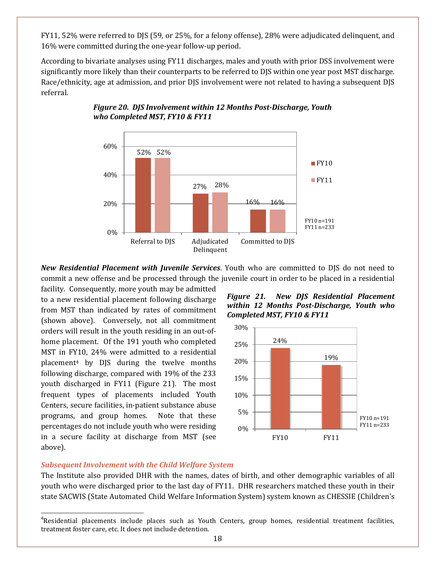FY11, 52% were referred to DJS (59, or 25%, for a felony offense), 28% were adjudicated delinquent, and 16% were committed during the one-year follow-up period.

According to bivariate analyses using FY11 discharges, males and youth with prior DSS involvement were significantly more likely than their counterparts to be referred to DJS within one year post MST discharge. Race/ethnicity, age at admission, and prior DJS involvement were not related to having a subsequent DJS referral.



## *Figure 20. DJS Involvement within 12 Months Post-Discharge, Youth who Completed MST, FY10 & FY11*

*New Residential Placement with Juvenile Services*. Youth who are committed to DJS do not need to commit a new offense and be processed through the juvenile court in order to be placed in a residential

facility. Consequently, more youth may be admitted to a new residential placement following discharge from MST than indicated by rates of commitment (shown above). Conversely, not all commitment orders will result in the youth residing in an out-ofhome placement. Of the 191 youth who completed MST in FY10, 24% were admitted to a residential placement[4](#page-18-0) by DJS during the twelve months following discharge, compared with 19% of the 233 youth discharged in FY11 (Figure 21). The most frequent types of placements included Youth Centers, secure facilities, in-patient substance abuse programs, and group homes. Note that these percentages do not include youth who were residing in a secure facility at discharge from MST (see above).





#### *Subsequent Involvement with the Child Welfare System*

The Institute also provided DHR with the names, dates of birth, and other demographic variables of all youth who were discharged prior to the last day of FY11. DHR researchers matched these youth in their state SACWIS (State Automated Child Welfare Information System) system known as CHESSIE (Children's

<span id="page-18-0"></span> <sup>4</sup> Residential placements include places such as Youth Centers, group homes, residential treatment facilities, treatment foster care, etc. It does not include detention.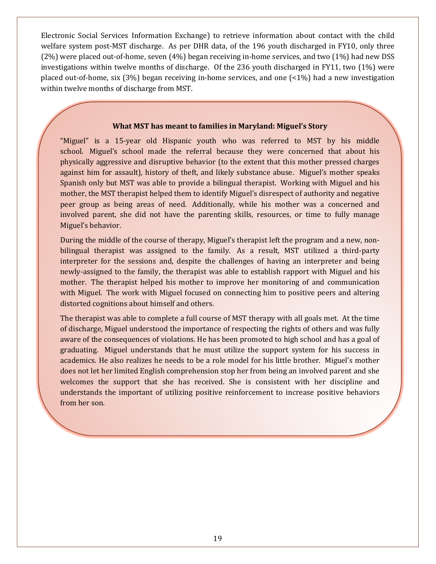Electronic Social Services Information Exchange) to retrieve information about contact with the child welfare system post-MST discharge. As per DHR data, of the 196 youth discharged in FY10, only three (2%) were placed out-of-home, seven (4%) began receiving in-home services, and two (1%) had new DSS investigations within twelve months of discharge. Of the 236 youth discharged in FY11, two (1%) were placed out-of-home, six (3%) began receiving in-home services, and one (<1%) had a new investigation within twelve months of discharge from MST.

#### **What MST has meant to families in Maryland: Miguel's Story**

"Miguel" is a 15-year old Hispanic youth who was referred to MST by his middle school. Miguel's school made the referral because they were concerned that about his physically aggressive and disruptive behavior (to the extent that this mother pressed charges against him for assault), history of theft, and likely substance abuse. Miguel's mother speaks Spanish only but MST was able to provide a bilingual therapist. Working with Miguel and his mother, the MST therapist helped them to identify Miguel's disrespect of authority and negative peer group as being areas of need. Additionally, while his mother was a concerned and involved parent, she did not have the parenting skills, resources, or time to fully manage Miguel's behavior.

During the middle of the course of therapy, Miguel's therapist left the program and a new, nonbilingual therapist was assigned to the family. As a result, MST utilized a third-party interpreter for the sessions and, despite the challenges of having an interpreter and being newly-assigned to the family, the therapist was able to establish rapport with Miguel and his mother. The therapist helped his mother to improve her monitoring of and communication with Miguel. The work with Miguel focused on connecting him to positive peers and altering distorted cognitions about himself and others.

The therapist was able to complete a full course of MST therapy with all goals met. At the time of discharge, Miguel understood the importance of respecting the rights of others and was fully aware of the consequences of violations. He has been promoted to high school and has a goal of graduating. Miguel understands that he must utilize the support system for his success in academics. He also realizes he needs to be a role model for his little brother. Miguel's mother does not let her limited English comprehension stop her from being an involved parent and she welcomes the support that she has received. She is consistent with her discipline and understands the important of utilizing positive reinforcement to increase positive behaviors from her son.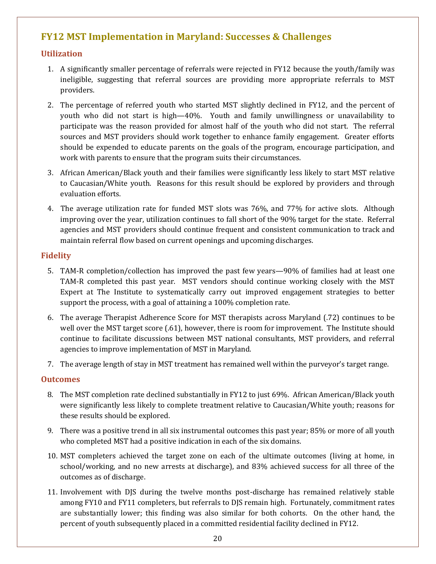## <span id="page-20-0"></span>**FY12 MST Implementation in Maryland: Successes & Challenges**

## <span id="page-20-1"></span>**Utilization**

- 1. A significantly smaller percentage of referrals were rejected in FY12 because the youth/family was ineligible, suggesting that referral sources are providing more appropriate referrals to MST providers.
- 2. The percentage of referred youth who started MST slightly declined in FY12, and the percent of youth who did not start is high—40%. Youth and family unwillingness or unavailability to participate was the reason provided for almost half of the youth who did not start. The referral sources and MST providers should work together to enhance family engagement. Greater efforts should be expended to educate parents on the goals of the program, encourage participation, and work with parents to ensure that the program suits their circumstances.
- 3. African American/Black youth and their families were significantly less likely to start MST relative to Caucasian/White youth. Reasons for this result should be explored by providers and through evaluation efforts.
- 4. The average utilization rate for funded MST slots was 76%, and 77% for active slots. Although improving over the year, utilization continues to fall short of the 90% target for the state. Referral agencies and MST providers should continue frequent and consistent communication to track and maintain referral flow based on current openings and upcoming discharges.

## <span id="page-20-2"></span>**Fidelity**

- 5. TAM-R completion/collection has improved the past few years—90% of families had at least one TAM-R completed this past year. MST vendors should continue working closely with the MST Expert at The Institute to systematically carry out improved engagement strategies to better support the process, with a goal of attaining a 100% completion rate.
- 6. The average Therapist Adherence Score for MST therapists across Maryland (.72) continues to be well over the MST target score (.61), however, there is room for improvement. The Institute should continue to facilitate discussions between MST national consultants, MST providers, and referral agencies to improve implementation of MST in Maryland.
- 7. The average length of stay in MST treatment has remained well within the purveyor's target range.

## <span id="page-20-3"></span>**Outcomes**

- 8. The MST completion rate declined substantially in FY12 to just 69%. African American/Black youth were significantly less likely to complete treatment relative to Caucasian/White youth; reasons for these results should be explored.
- 9. There was a positive trend in all six instrumental outcomes this past year; 85% or more of all youth who completed MST had a positive indication in each of the six domains.
- 10. MST completers achieved the target zone on each of the ultimate outcomes (living at home, in school/working, and no new arrests at discharge), and 83% achieved success for all three of the outcomes as of discharge.
- 11. Involvement with DJS during the twelve months post-discharge has remained relatively stable among FY10 and FY11 completers, but referrals to DJS remain high. Fortunately, commitment rates are substantially lower; this finding was also similar for both cohorts. On the other hand, the percent of youth subsequently placed in a committed residential facility declined in FY12.